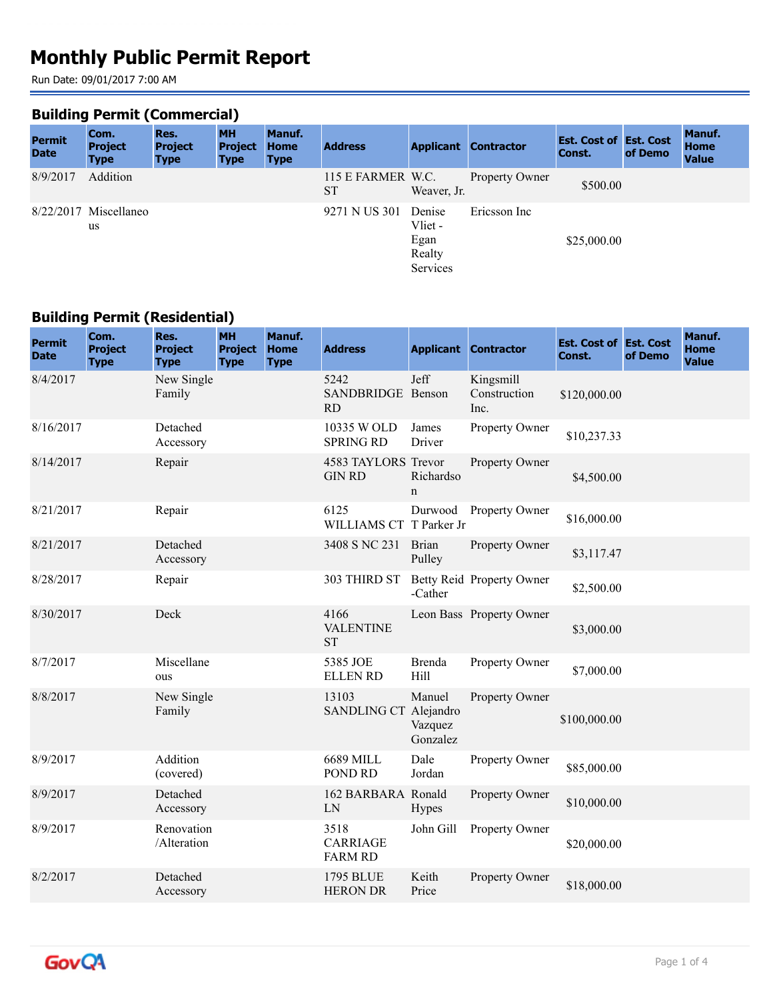# **Monthly Public Permit Report**

Run Date: 09/01/2017 7:00 AM

## **Building Permit (Commercial)**

| <b>Permit</b><br><b>Date</b> | Com.<br><b>Project</b><br><b>Type</b> | Res.<br><b>Project</b><br><b>Type</b> | <b>MH</b><br><b>Project</b><br><b>Type</b> | Manuf.<br><b>Home</b><br><b>Type</b> | <b>Address</b>                 |                                                 | <b>Applicant Contractor</b> | <b>Est. Cost of Est. Cost</b><br><b>Const.</b> | of Demo | Manuf.<br><b>Home</b><br><b>Value</b> |
|------------------------------|---------------------------------------|---------------------------------------|--------------------------------------------|--------------------------------------|--------------------------------|-------------------------------------------------|-----------------------------|------------------------------------------------|---------|---------------------------------------|
| 8/9/2017                     | Addition                              |                                       |                                            |                                      | 115 E FARMER W.C.<br><b>ST</b> | Weaver, Jr.                                     | Property Owner              | \$500.00                                       |         |                                       |
|                              | $8/22/2017$ Miscellaneo<br>us         |                                       |                                            |                                      | 9271 N US 301                  | Denise<br>Vliet -<br>Egan<br>Realty<br>Services | Ericsson Inc                | \$25,000.00                                    |         |                                       |

#### **Building Permit (Residential)**

| <b>Permit</b><br><b>Date</b> | Com.<br><b>Project</b><br><b>Type</b> | Res.<br><b>Project</b><br><b>Type</b> | <b>MH</b><br><b>Project</b><br><b>Type</b> | Manuf.<br><b>Home</b><br><b>Type</b> | <b>Address</b>                            |                               | <b>Applicant Contractor</b>       | <b>Est. Cost of Est. Cost</b><br>Const. | of Demo | Manuf.<br><b>Home</b><br><b>Value</b> |
|------------------------------|---------------------------------------|---------------------------------------|--------------------------------------------|--------------------------------------|-------------------------------------------|-------------------------------|-----------------------------------|-----------------------------------------|---------|---------------------------------------|
| 8/4/2017                     |                                       | New Single<br>Family                  |                                            |                                      | 5242<br>SANDBRIDGE Benson<br>RD           | Jeff                          | Kingsmill<br>Construction<br>Inc. | \$120,000.00                            |         |                                       |
| 8/16/2017                    |                                       | Detached<br>Accessory                 |                                            |                                      | 10335 W OLD<br><b>SPRING RD</b>           | James<br>Driver               | Property Owner                    | \$10,237.33                             |         |                                       |
| 8/14/2017                    |                                       | Repair                                |                                            |                                      | 4583 TAYLORS Trevor<br><b>GIN RD</b>      | Richardso<br>$\mathbf n$      | Property Owner                    | \$4,500.00                              |         |                                       |
| 8/21/2017                    |                                       | Repair                                |                                            |                                      | 6125<br>WILLIAMS CT T Parker Jr           | Durwood                       | <b>Property Owner</b>             | \$16,000.00                             |         |                                       |
| 8/21/2017                    |                                       | Detached<br>Accessory                 |                                            |                                      | 3408 S NC 231                             | <b>Brian</b><br>Pulley        | Property Owner                    | \$3,117.47                              |         |                                       |
| 8/28/2017                    |                                       | Repair                                |                                            |                                      | 303 THIRD ST                              | -Cather                       | Betty Reid Property Owner         | \$2,500.00                              |         |                                       |
| 8/30/2017                    |                                       | Deck                                  |                                            |                                      | 4166<br><b>VALENTINE</b><br><b>ST</b>     |                               | Leon Bass Property Owner          | \$3,000.00                              |         |                                       |
| 8/7/2017                     |                                       | Miscellane<br>ous                     |                                            |                                      | 5385 JOE<br><b>ELLEN RD</b>               | <b>Brenda</b><br>Hill         | Property Owner                    | \$7,000.00                              |         |                                       |
| 8/8/2017                     |                                       | New Single<br>Family                  |                                            |                                      | 13103<br>SANDLING CT Alejandro            | Manuel<br>Vazquez<br>Gonzalez | Property Owner                    | \$100,000.00                            |         |                                       |
| 8/9/2017                     |                                       | Addition<br>(covered)                 |                                            |                                      | 6689 MILL<br>POND RD                      | Dale<br>Jordan                | Property Owner                    | \$85,000.00                             |         |                                       |
| 8/9/2017                     |                                       | Detached<br>Accessory                 |                                            |                                      | 162 BARBARA Ronald<br>LN                  | <b>Hypes</b>                  | Property Owner                    | \$10,000.00                             |         |                                       |
| 8/9/2017                     |                                       | Renovation<br>/Alteration             |                                            |                                      | 3518<br><b>CARRIAGE</b><br><b>FARM RD</b> | John Gill                     | Property Owner                    | \$20,000.00                             |         |                                       |
| 8/2/2017                     |                                       | Detached<br>Accessory                 |                                            |                                      | 1795 BLUE<br><b>HERON DR</b>              | Keith<br>Price                | Property Owner                    | \$18,000.00                             |         |                                       |

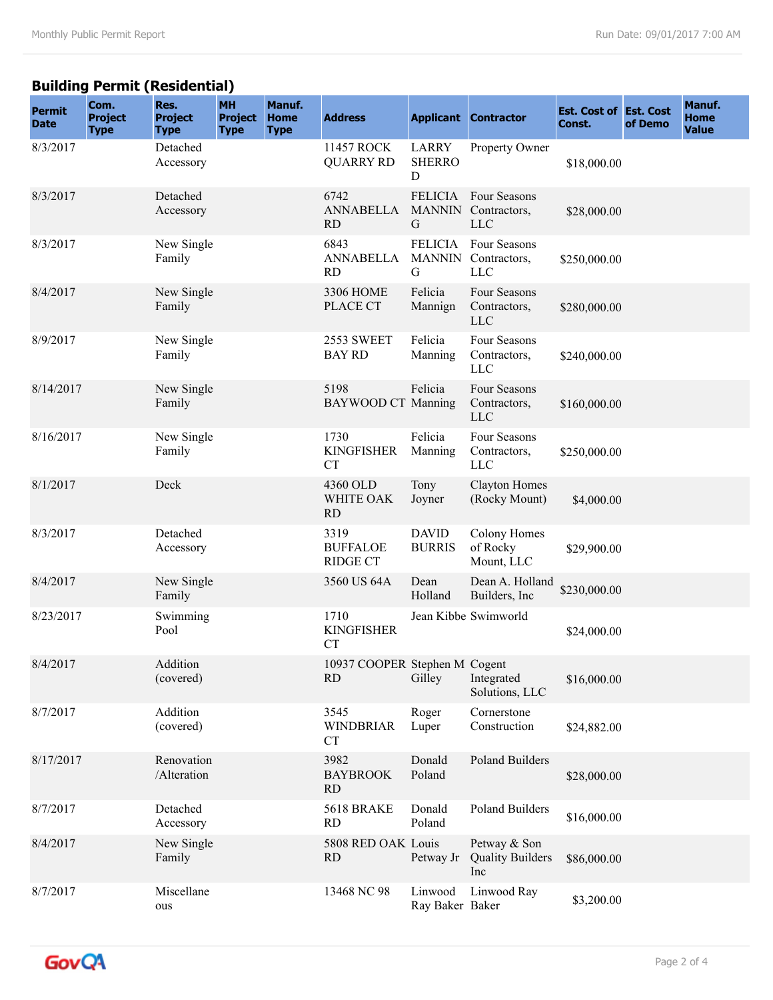## **Building Permit (Residential)**

| <b>Permit</b><br><b>Date</b> | Com.<br><b>Project</b><br><b>Type</b> | Res.<br><b>Project</b><br><b>Type</b> | <b>MH</b><br><b>Project</b><br><b>Type</b> | Manuf.<br><b>Home</b><br><b>Type</b> | <b>Address</b>                             |                               | <b>Applicant Contractor</b>                               | <b>Est. Cost of Est. Cost</b><br>Const. | of Demo | Manuf.<br><b>Home</b><br><b>Value</b> |
|------------------------------|---------------------------------------|---------------------------------------|--------------------------------------------|--------------------------------------|--------------------------------------------|-------------------------------|-----------------------------------------------------------|-----------------------------------------|---------|---------------------------------------|
| 8/3/2017                     |                                       | Detached<br>Accessory                 |                                            |                                      | 11457 ROCK<br><b>QUARRY RD</b>             | LARRY<br><b>SHERRO</b><br>D   | Property Owner                                            | \$18,000.00                             |         |                                       |
| 8/3/2017                     |                                       | Detached<br>Accessory                 |                                            |                                      | 6742<br><b>ANNABELLA</b><br><b>RD</b>      | G                             | FELICIA Four Seasons<br>MANNIN Contractors,<br><b>LLC</b> | \$28,000.00                             |         |                                       |
| 8/3/2017                     |                                       | New Single<br>Family                  |                                            |                                      | 6843<br><b>ANNABELLA</b><br><b>RD</b>      | G                             | FELICIA Four Seasons<br>MANNIN Contractors,<br><b>LLC</b> | \$250,000.00                            |         |                                       |
| 8/4/2017                     |                                       | New Single<br>Family                  |                                            |                                      | 3306 HOME<br>PLACE CT                      | Felicia<br>Mannign            | Four Seasons<br>Contractors,<br><b>LLC</b>                | \$280,000.00                            |         |                                       |
| 8/9/2017                     |                                       | New Single<br>Family                  |                                            |                                      | 2553 SWEET<br><b>BAY RD</b>                | Felicia<br>Manning            | Four Seasons<br>Contractors,<br><b>LLC</b>                | \$240,000.00                            |         |                                       |
| 8/14/2017                    |                                       | New Single<br>Family                  |                                            |                                      | 5198<br><b>BAYWOOD CT Manning</b>          | Felicia                       | Four Seasons<br>Contractors,<br><b>LLC</b>                | \$160,000.00                            |         |                                       |
| 8/16/2017                    |                                       | New Single<br>Family                  |                                            |                                      | 1730<br><b>KINGFISHER</b><br>CT            | Felicia<br>Manning            | Four Seasons<br>Contractors,<br><b>LLC</b>                | \$250,000.00                            |         |                                       |
| 8/1/2017                     |                                       | Deck                                  |                                            |                                      | 4360 OLD<br>WHITE OAK<br><b>RD</b>         | Tony<br>Joyner                | <b>Clayton Homes</b><br>(Rocky Mount)                     | \$4,000.00                              |         |                                       |
| 8/3/2017                     |                                       | Detached<br>Accessory                 |                                            |                                      | 3319<br><b>BUFFALOE</b><br><b>RIDGE CT</b> | <b>DAVID</b><br><b>BURRIS</b> | <b>Colony Homes</b><br>of Rocky<br>Mount, LLC             | \$29,900.00                             |         |                                       |
| 8/4/2017                     |                                       | New Single<br>Family                  |                                            |                                      | 3560 US 64A                                | Dean<br>Holland               | Dean A. Holland<br>Builders, Inc                          | \$230,000.00                            |         |                                       |
| 8/23/2017                    |                                       | Swimming<br>Pool                      |                                            |                                      | 1710<br><b>KINGFISHER</b><br><b>CT</b>     |                               | Jean Kibbe Swimworld                                      | \$24,000.00                             |         |                                       |
| 8/4/2017                     |                                       | Addition<br>(covered)                 |                                            |                                      | 10937 COOPER Stephen M Cogent<br><b>RD</b> | Gilley                        | Integrated<br>Solutions, LLC                              | \$16,000.00                             |         |                                       |
| 8/7/2017                     |                                       | Addition<br>(covered)                 |                                            |                                      | 3545<br><b>WINDBRIAR</b><br><b>CT</b>      | Roger<br>Luper                | Cornerstone<br>Construction                               | \$24,882.00                             |         |                                       |
| 8/17/2017                    |                                       | Renovation<br>/Alteration             |                                            |                                      | 3982<br><b>BAYBROOK</b><br>RD              | Donald<br>Poland              | <b>Poland Builders</b>                                    | \$28,000.00                             |         |                                       |
| 8/7/2017                     |                                       | Detached<br>Accessory                 |                                            |                                      | <b>5618 BRAKE</b><br><b>RD</b>             | Donald<br>Poland              | Poland Builders                                           | \$16,000.00                             |         |                                       |
| 8/4/2017                     |                                       | New Single<br>Family                  |                                            |                                      | 5808 RED OAK Louis<br><b>RD</b>            | Petway Jr                     | Petway & Son<br><b>Quality Builders</b><br>Inc            | \$86,000.00                             |         |                                       |
| 8/7/2017                     |                                       | Miscellane<br>ous                     |                                            |                                      | 13468 NC 98                                | Linwood<br>Ray Baker Baker    | Linwood Ray                                               | \$3,200.00                              |         |                                       |

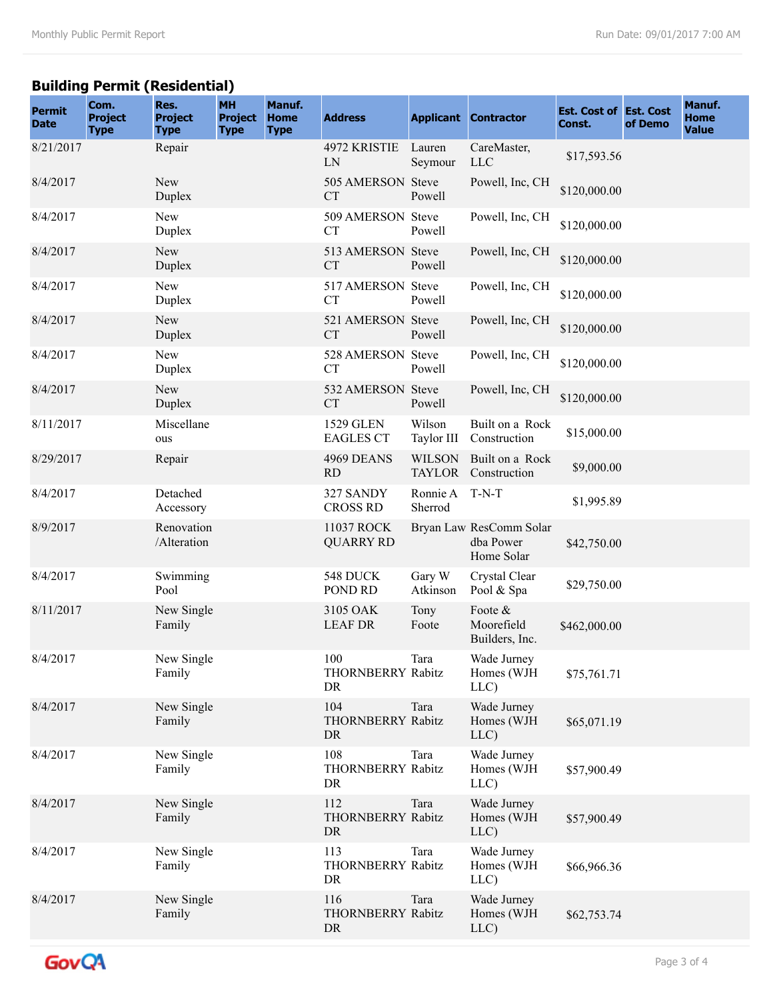## **Building Permit (Residential)**

| <b>Permit</b><br><b>Date</b> | Com.<br><b>Project</b><br><b>Type</b> | Res.<br><b>Project</b><br><b>Type</b> | <b>MH</b><br><b>Project</b><br><b>Type</b> | Manuf.<br><b>Home</b><br><b>Type</b> | <b>Address</b>                       |                      | <b>Applicant Contractor</b>                        | <b>Est. Cost of Est. Cost</b><br>Const. | of Demo | Manuf.<br><b>Home</b><br><b>Value</b> |
|------------------------------|---------------------------------------|---------------------------------------|--------------------------------------------|--------------------------------------|--------------------------------------|----------------------|----------------------------------------------------|-----------------------------------------|---------|---------------------------------------|
| 8/21/2017                    |                                       | Repair                                |                                            |                                      | 4972 KRISTIE<br>LN                   | Lauren<br>Seymour    | CareMaster,<br><b>LLC</b>                          | \$17,593.56                             |         |                                       |
| 8/4/2017                     |                                       | New<br>Duplex                         |                                            |                                      | 505 AMERSON Steve<br><b>CT</b>       | Powell               | Powell, Inc, CH                                    | \$120,000.00                            |         |                                       |
| 8/4/2017                     |                                       | New<br>Duplex                         |                                            |                                      | 509 AMERSON Steve<br><b>CT</b>       | Powell               | Powell, Inc, CH                                    | \$120,000.00                            |         |                                       |
| 8/4/2017                     |                                       | <b>New</b><br>Duplex                  |                                            |                                      | 513 AMERSON Steve<br><b>CT</b>       | Powell               | Powell, Inc, CH                                    | \$120,000.00                            |         |                                       |
| 8/4/2017                     |                                       | New<br>Duplex                         |                                            |                                      | 517 AMERSON Steve<br><b>CT</b>       | Powell               | Powell, Inc, CH                                    | \$120,000.00                            |         |                                       |
| 8/4/2017                     |                                       | New<br>Duplex                         |                                            |                                      | 521 AMERSON Steve<br><b>CT</b>       | Powell               | Powell, Inc, CH                                    | \$120,000.00                            |         |                                       |
| 8/4/2017                     |                                       | New<br>Duplex                         |                                            |                                      | 528 AMERSON Steve<br><b>CT</b>       | Powell               | Powell, Inc, CH                                    | \$120,000.00                            |         |                                       |
| 8/4/2017                     |                                       | <b>New</b><br>Duplex                  |                                            |                                      | 532 AMERSON Steve<br><b>CT</b>       | Powell               | Powell, Inc, CH                                    | \$120,000.00                            |         |                                       |
| 8/11/2017                    |                                       | Miscellane<br>ous                     |                                            |                                      | <b>1529 GLEN</b><br><b>EAGLES CT</b> | Wilson<br>Taylor III | Built on a Rock<br>Construction                    | \$15,000.00                             |         |                                       |
| 8/29/2017                    |                                       | Repair                                |                                            |                                      | 4969 DEANS<br><b>RD</b>              | <b>WILSON</b>        | Built on a Rock<br>TAYLOR Construction             | \$9,000.00                              |         |                                       |
| 8/4/2017                     |                                       | Detached<br>Accessory                 |                                            |                                      | 327 SANDY<br><b>CROSS RD</b>         | Ronnie A<br>Sherrod  | T-N-T                                              | \$1,995.89                              |         |                                       |
| 8/9/2017                     |                                       | Renovation<br>/Alteration             |                                            |                                      | 11037 ROCK<br><b>QUARRY RD</b>       |                      | Bryan Law ResComm Solar<br>dba Power<br>Home Solar | \$42,750.00                             |         |                                       |
| 8/4/2017                     |                                       | Swimming<br>Pool                      |                                            |                                      | 548 DUCK<br>POND RD                  | Gary W<br>Atkinson   | Crystal Clear<br>Pool & Spa                        | \$29,750.00                             |         |                                       |
| 8/11/2017                    |                                       | New Single<br>Family                  |                                            |                                      | 3105 OAK<br><b>LEAF DR</b>           | Tony<br>Foote        | Foote &<br>Moorefield<br>Builders, Inc.            | \$462,000.00                            |         |                                       |
| 8/4/2017                     |                                       | New Single<br>Family                  |                                            |                                      | 100<br>THORNBERRY Rabitz<br>DR       | Tara                 | Wade Jurney<br>Homes (WJH<br>LLC)                  | \$75,761.71                             |         |                                       |
| 8/4/2017                     |                                       | New Single<br>Family                  |                                            |                                      | 104<br>THORNBERRY Rabitz<br>DR       | Tara                 | Wade Jurney<br>Homes (WJH<br>LLC)                  | \$65,071.19                             |         |                                       |
| 8/4/2017                     |                                       | New Single<br>Family                  |                                            |                                      | 108<br>THORNBERRY Rabitz<br>DR       | Tara                 | Wade Jurney<br>Homes (WJH<br>LLC)                  | \$57,900.49                             |         |                                       |
| 8/4/2017                     |                                       | New Single<br>Family                  |                                            |                                      | 112<br>THORNBERRY Rabitz<br>DR       | Tara                 | Wade Jurney<br>Homes (WJH<br>LLC)                  | \$57,900.49                             |         |                                       |
| 8/4/2017                     |                                       | New Single<br>Family                  |                                            |                                      | 113<br>THORNBERRY Rabitz<br>DR       | Tara                 | Wade Jurney<br>Homes (WJH<br>LLC)                  | \$66,966.36                             |         |                                       |
| 8/4/2017                     |                                       | New Single<br>Family                  |                                            |                                      | 116<br>THORNBERRY Rabitz<br>DR       | Tara                 | Wade Jurney<br>Homes (WJH<br>LLC)                  | \$62,753.74                             |         |                                       |